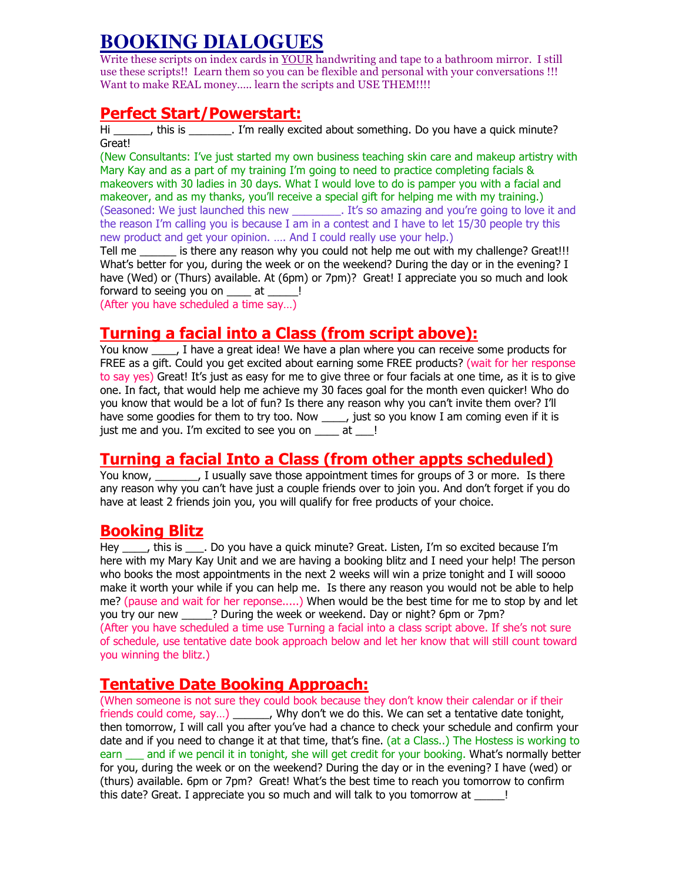# **BOOKING DIALOGUES**

Write these scripts on index cards in YOUR handwriting and tape to a bathroom mirror. I still use these scripts!! Learn them so you can be flexible and personal with your conversations !!! Want to make REAL money..... learn the scripts and USE THEM!!!!

### Perfect Start/Powerstart:

Hi https://www.fileson.com/induction-containing. Do you have a quick minute? Great!

(New Consultants: I've just started my own business teaching skin care and makeup artistry with Mary Kay and as a part of my training I'm going to need to practice completing facials & makeovers with 30 ladies in 30 days. What I would love to do is pamper you with a facial and makeover, and as my thanks, you'll receive a special gift for helping me with my training.) (Seasoned: We just launched this new \_\_\_\_\_\_\_\_. It's so amazing and you're going to love it and the reason I'm calling you is because I am in a contest and I have to let 15/30 people try this new product and get your opinion. …. And I could really use your help.)

Tell me \_\_\_\_\_\_ is there any reason why you could not help me out with my challenge? Great!!! What's better for you, during the week or on the weekend? During the day or in the evening? I have (Wed) or (Thurs) available. At (6pm) or 7pm)? Great! I appreciate you so much and look forward to seeing you on \_\_\_\_\_ at \_\_\_\_\_!

(After you have scheduled a time say…)

# Turning a facial into a Class (from script above):

You know Thave a great idea! We have a plan where you can receive some products for FREE as a gift. Could you get excited about earning some FREE products? (wait for her response to say yes) Great! It's just as easy for me to give three or four facials at one time, as it is to give one. In fact, that would help me achieve my 30 faces goal for the month even quicker! Who do you know that would be a lot of fun? Is there any reason why you can't invite them over? I'll have some goodies for them to try too. Now \_\_\_\_, just so you know I am coming even if it is just me and you. I'm excited to see you on at !

# Turning a facial Into a Class (from other appts scheduled)

You know, Tusually save those appointment times for groups of 3 or more. Is there any reason why you can't have just a couple friends over to join you. And don't forget if you do have at least 2 friends join you, you will qualify for free products of your choice.

# Booking Blitz

Hey this is Do you have a quick minute? Great. Listen, I'm so excited because I'm here with my Mary Kay Unit and we are having a booking blitz and I need your help! The person who books the most appointments in the next 2 weeks will win a prize tonight and I will soooo make it worth your while if you can help me. Is there any reason you would not be able to help me? (pause and wait for her reponse.....) When would be the best time for me to stop by and let you try our new **2.** Puring the week or weekend. Day or night? 6pm or 7pm? (After you have scheduled a time use Turning a facial into a class script above. If she's not sure of schedule, use tentative date book approach below and let her know that will still count toward you winning the blitz.)

# Tentative Date Booking Approach:

(When someone is not sure they could book because they don't know their calendar or if their friends could come, say…) \_\_\_\_\_\_, Why don't we do this. We can set a tentative date tonight, then tomorrow, I will call you after you've had a chance to check your schedule and confirm your date and if you need to change it at that time, that's fine. (at a Class..) The Hostess is working to earn and if we pencil it in tonight, she will get credit for your booking. What's normally better for you, during the week or on the weekend? During the day or in the evening? I have (wed) or (thurs) available. 6pm or 7pm? Great! What's the best time to reach you tomorrow to confirm this date? Great. I appreciate you so much and will talk to you tomorrow at  $\qquad$  !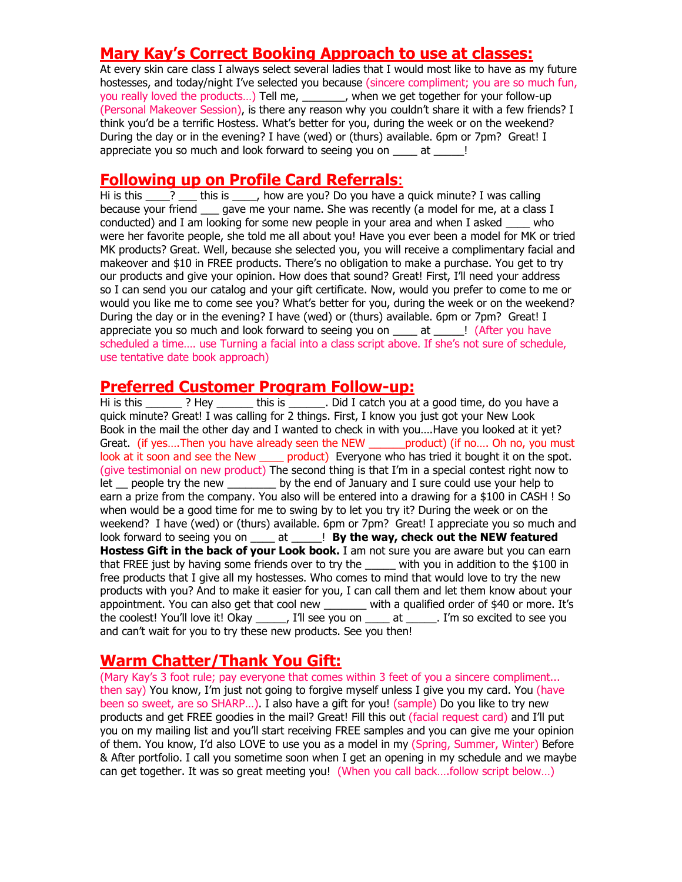# Mary Kay's Correct Booking Approach to use at classes:

At every skin care class I always select several ladies that I would most like to have as my future hostesses, and today/night I've selected you because (sincere compliment; you are so much fun, you really loved the products…) Tell me, \_\_\_\_\_\_\_, when we get together for your follow-up (Personal Makeover Session), is there any reason why you couldn't share it with a few friends? I think you'd be a terrific Hostess. What's better for you, during the week or on the weekend? During the day or in the evening? I have (wed) or (thurs) available. 6pm or 7pm? Great! I appreciate you so much and look forward to seeing you on at  $\qquad$ !

#### Following up on Profile Card Referrals:

Hi is this \_\_\_\_? \_\_\_ this is \_\_\_\_, how are you? Do you have a quick minute? I was calling because your friend gave me your name. She was recently (a model for me, at a class I conducted) and I am looking for some new people in your area and when I asked \_\_\_\_ who were her favorite people, she told me all about you! Have you ever been a model for MK or tried MK products? Great. Well, because she selected you, you will receive a complimentary facial and makeover and \$10 in FREE products. There's no obligation to make a purchase. You get to try our products and give your opinion. How does that sound? Great! First, I'll need your address so I can send you our catalog and your gift certificate. Now, would you prefer to come to me or would you like me to come see you? What's better for you, during the week or on the weekend? During the day or in the evening? I have (wed) or (thurs) available. 6pm or 7pm? Great! I appreciate you so much and look forward to seeing you on \_\_\_\_\_ at \_\_\_\_\_! (After you have scheduled a time.... use Turning a facial into a class script above. If she's not sure of schedule, use tentative date book approach)

#### Preferred Customer Program Follow-up:

Hi is this  $\frac{1}{2}$  ? Hey this is . Did I catch you at a good time, do you have a quick minute? Great! I was calling for 2 things. First, I know you just got your New Look Book in the mail the other day and I wanted to check in with you….Have you looked at it yet? Great. (if yes....Then you have already seen the NEW product) (if no.... Oh no, you must look at it soon and see the New \_\_\_\_\_ product) Everyone who has tried it bought it on the spot. (give testimonial on new product) The second thing is that I'm in a special contest right now to let people try the new sumple by the end of January and I sure could use your help to earn a prize from the company. You also will be entered into a drawing for a \$100 in CASH ! So when would be a good time for me to swing by to let you try it? During the week or on the weekend? I have (wed) or (thurs) available. 6pm or 7pm? Great! I appreciate you so much and look forward to seeing you on \_\_\_\_\_ at \_\_\_\_\_! By the way, check out the NEW featured Hostess Gift in the back of your Look book. I am not sure you are aware but you can earn that FREE just by having some friends over to try the with you in addition to the \$100 in free products that I give all my hostesses. Who comes to mind that would love to try the new products with you? And to make it easier for you, I can call them and let them know about your appointment. You can also get that cool new \_\_\_\_\_\_\_ with a qualified order of \$40 or more. It's the coolest! You'll love it! Okay \_\_\_\_\_, I'll see you on \_\_\_\_ at \_\_\_\_\_. I'm so excited to see you and can't wait for you to try these new products. See you then!

# Warm Chatter/Thank You Gift:

(Mary Kay's 3 foot rule; pay everyone that comes within 3 feet of you a sincere compliment... then say) You know, I'm just not going to forgive myself unless I give you my card. You (have been so sweet, are so SHARP...). I also have a gift for you! (sample) Do you like to try new products and get FREE goodies in the mail? Great! Fill this out (facial request card) and I'll put you on my mailing list and you'll start receiving FREE samples and you can give me your opinion of them. You know, I'd also LOVE to use you as a model in my (Spring, Summer, Winter) Before & After portfolio. I call you sometime soon when I get an opening in my schedule and we maybe can get together. It was so great meeting you! (When you call back….follow script below…)